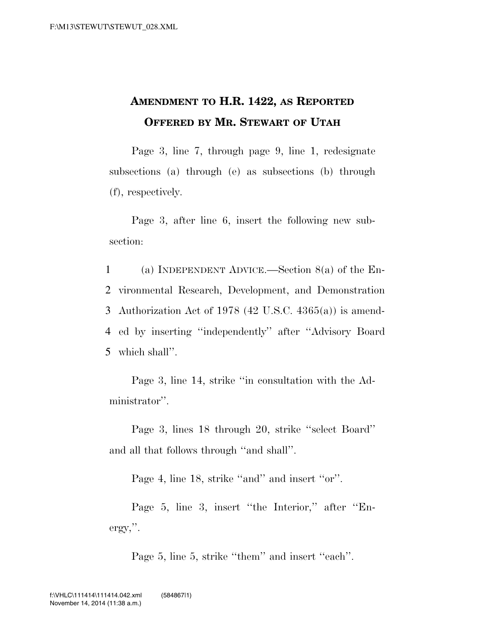## **AMENDMENT TO H.R. 1422, AS REPORTED OFFERED BY MR. STEWART OF UTAH**

Page 3, line 7, through page 9, line 1, redesignate subsections (a) through (e) as subsections (b) through (f), respectively.

Page 3, after line 6, insert the following new subsection:

 (a) INDEPENDENT ADVICE.—Section 8(a) of the En- vironmental Research, Development, and Demonstration Authorization Act of 1978 (42 U.S.C. 4365(a)) is amend- ed by inserting ''independently'' after ''Advisory Board which shall''.

Page 3, line 14, strike ''in consultation with the Administrator''.

Page 3, lines 18 through 20, strike ''select Board'' and all that follows through ''and shall''.

Page 4, line 18, strike "and" and insert "or".

Page 5, line 3, insert ''the Interior,'' after ''Energy,''.

Page 5, line 5, strike "them" and insert "each".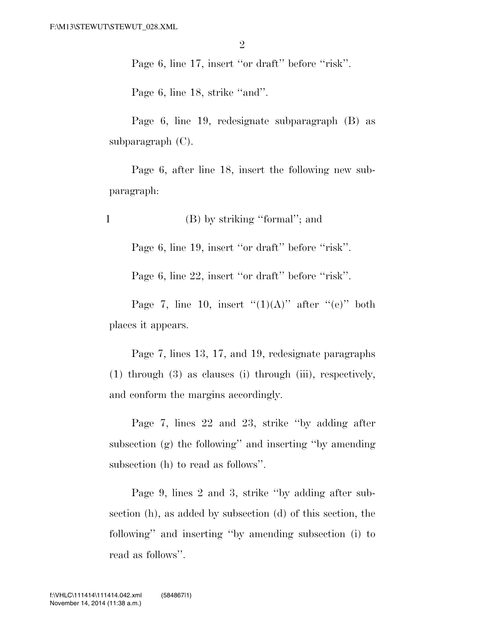Page 6, line 17, insert "or draft" before "risk".

Page 6, line 18, strike "and".

Page 6, line 19, redesignate subparagraph (B) as subparagraph (C).

Page 6, after line 18, insert the following new subparagraph:

1 (B) by striking ''formal''; and

Page 6, line 19, insert "or draft" before "risk".

Page 6, line 22, insert "or draft" before "risk".

Page 7, line 10, insert  $''(1)(A)''$  after  $''(e)''$  both places it appears.

Page 7, lines 13, 17, and 19, redesignate paragraphs (1) through (3) as clauses (i) through (iii), respectively, and conform the margins accordingly.

Page 7, lines 22 and 23, strike ''by adding after subsection (g) the following'' and inserting ''by amending subsection (h) to read as follows''.

Page 9, lines 2 and 3, strike ''by adding after subsection (h), as added by subsection (d) of this section, the following'' and inserting ''by amending subsection (i) to read as follows''.